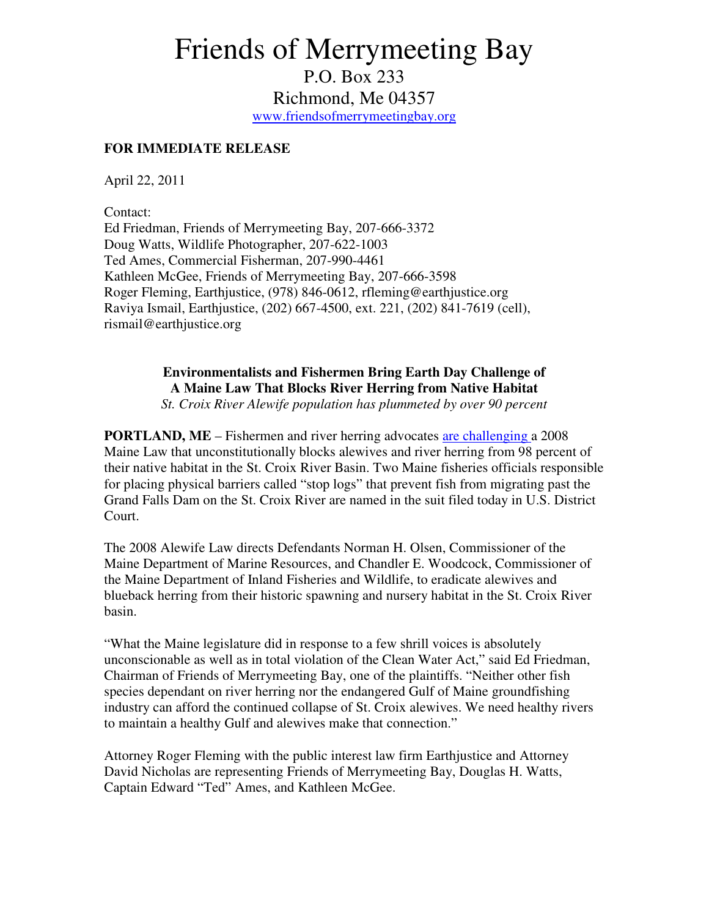## Friends of Merrymeeting Bay

P.O. Box 233 Richmond, Me 04357 www.friendsofmerrymeetingbay.org

## **FOR IMMEDIATE RELEASE**

April 22, 2011

Contact: Ed Friedman, Friends of Merrymeeting Bay, 207-666-3372 Doug Watts, Wildlife Photographer, 207-622-1003 Ted Ames, Commercial Fisherman, 207-990-4461 Kathleen McGee, Friends of Merrymeeting Bay, 207-666-3598 Roger Fleming, Earthjustice, (978) 846-0612, rfleming@earthjustice.org Raviya Ismail, Earthjustice, (202) 667-4500, ext. 221, (202) 841-7619 (cell), rismail@earthjustice.org

> **Environmentalists and Fishermen Bring Earth Day Challenge of A Maine Law That Blocks River Herring from Native Habitat**

*St. Croix River Alewife population has plummeted by over 90 percent* 

**PORTLAND, ME** – Fishermen and river herring advocates are challenging a 2008 Maine Law that unconstitutionally blocks alewives and river herring from 98 percent of their native habitat in the St. Croix River Basin. Two Maine fisheries officials responsible for placing physical barriers called "stop logs" that prevent fish from migrating past the Grand Falls Dam on the St. Croix River are named in the suit filed today in U.S. District Court.

The 2008 Alewife Law directs Defendants Norman H. Olsen, Commissioner of the Maine Department of Marine Resources, and Chandler E. Woodcock, Commissioner of the Maine Department of Inland Fisheries and Wildlife, to eradicate alewives and blueback herring from their historic spawning and nursery habitat in the St. Croix River basin.

"What the Maine legislature did in response to a few shrill voices is absolutely unconscionable as well as in total violation of the Clean Water Act," said Ed Friedman, Chairman of Friends of Merrymeeting Bay, one of the plaintiffs. "Neither other fish species dependant on river herring nor the endangered Gulf of Maine groundfishing industry can afford the continued collapse of St. Croix alewives. We need healthy rivers to maintain a healthy Gulf and alewives make that connection."

Attorney Roger Fleming with the public interest law firm Earthjustice and Attorney David Nicholas are representing Friends of Merrymeeting Bay, Douglas H. Watts, Captain Edward "Ted" Ames, and Kathleen McGee.